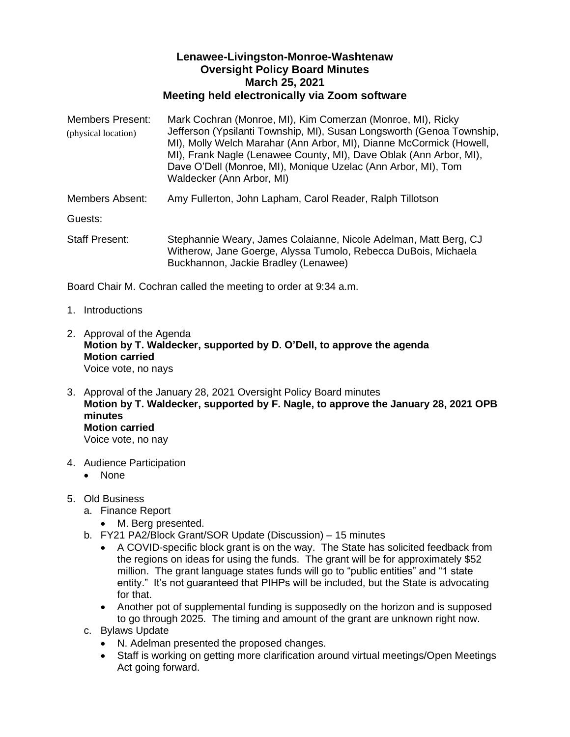## **Lenawee-Livingston-Monroe-Washtenaw Oversight Policy Board Minutes March 25, 2021 Meeting held electronically via Zoom software**

Members Present: Mark Cochran (Monroe, MI), Kim Comerzan (Monroe, MI), Ricky Jefferson (Ypsilanti Township, MI), Susan Longsworth (Genoa Township, MI), Molly Welch Marahar (Ann Arbor, MI), Dianne McCormick (Howell, MI), Frank Nagle (Lenawee County, MI), Dave Oblak (Ann Arbor, MI), Dave O'Dell (Monroe, MI), Monique Uzelac (Ann Arbor, MI), Tom Waldecker (Ann Arbor, MI) Members Absent: Amy Fullerton, John Lapham, Carol Reader, Ralph Tillotson Guests: Staff Present: Stephannie Weary, James Colaianne, Nicole Adelman, Matt Berg, CJ Witherow, Jane Goerge, Alyssa Tumolo, Rebecca DuBois, Michaela Buckhannon, Jackie Bradley (Lenawee) (physical location)

Board Chair M. Cochran called the meeting to order at 9:34 a.m.

- 1. Introductions
- 2. Approval of the Agenda **Motion by T. Waldecker, supported by D. O'Dell, to approve the agenda Motion carried** Voice vote, no nays
- 3. Approval of the January 28, 2021 Oversight Policy Board minutes **Motion by T. Waldecker, supported by F. Nagle, to approve the January 28, 2021 OPB minutes Motion carried** Voice vote, no nay
- 4. Audience Participation
	- None
- 5. Old Business
	- a. Finance Report
		- M. Berg presented.
	- b. FY21 PA2/Block Grant/SOR Update (Discussion) 15 minutes
		- A COVID-specific block grant is on the way. The State has solicited feedback from the regions on ideas for using the funds. The grant will be for approximately \$52 million. The grant language states funds will go to "public entities" and "1 state entity." It's not guaranteed that PIHPs will be included, but the State is advocating for that.
		- Another pot of supplemental funding is supposedly on the horizon and is supposed to go through 2025. The timing and amount of the grant are unknown right now.
	- c. Bylaws Update
		- N. Adelman presented the proposed changes.
		- Staff is working on getting more clarification around virtual meetings/Open Meetings Act going forward.